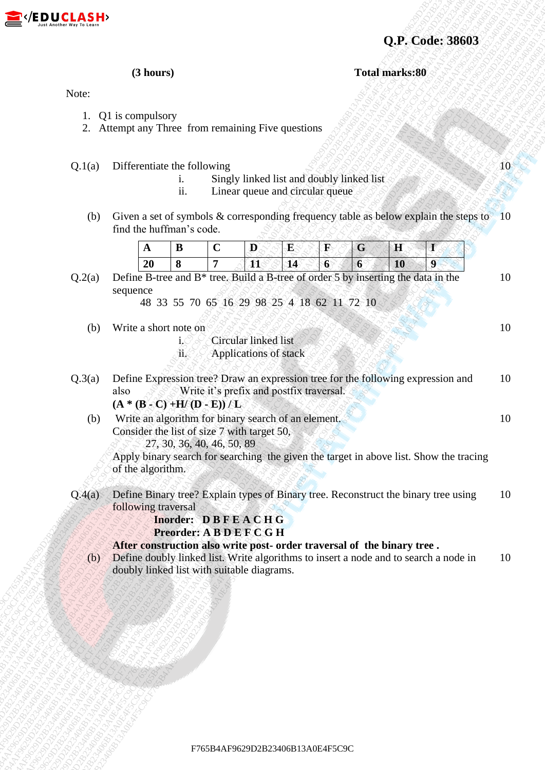

**Q.P. Code: 38603**

 $\overline{10}$ 

10

10

10

**(3 hours) Total marks:80**

Note:

- 1. Q1 is compulsory
- 2. Attempt any Three from remaining Five questions

Q.1(a) Differentiate the following

- i. Singly linked list and doubly linked list
- ii. Linear queue and circular queue
- (b) Given a set of symbols & corresponding frequency table as below explain the steps to find the huffman's code. 10

 $Q.2(a)$  Define B-tree and B<sup>\*</sup> tree. Build a B-tree of order 5 by inserting the data in the sequence

48 33 55 70 65 16 29 98 25 4 18 62 11 72 10

- (b) Write a short note on
	- i. Circular linked list
	- ii. Applications of stack

**CF7. Civita: 36603**<br>
Note:<br>
1. (2) is comparison to form containing Five questions<br>
2. Attempt any This Containing Five questions<br>
1. (5) Sure in the following<br>
1. (5) Sure in the following comparison of the state of the **CF. Code: 38603**<br>
Note:<br>
1. Q1 is compulsery<br>
2. Aftentyt new Three from creating Pive questions<br>
Q1(c) Differentian the following content of content of each content of the filled late and downly initial content of the s **CALCORATE 2458068**<br> **FRAGE 22**<br> **FRAGE 22**<br> **EXERCISE AF9629 AF9629 AF9629 AF9629 AF9629 AF9629 AF9629 AF9629 AF9629 AF9629 AF9629 AF9629 AF9629 AF9629 AF9629 AF9629 AF9629 AF9629 AF9629 AF9629 AF9629 AF9629 AF9629 AF962 EXECUTIVE COFFRESH F16**<br>
1. Of is computancy from enumining tive questions<br>
2. Alternative form transmissing tive questions<br>
2. Of the Particular Core of the Secondary Center of the AF96204<br>
2. Of Diversion and the Secon **F8.DUCLA.SHb**<br>
CHE CONFIRM (1) Locarty have the following<br>
2. Attention the following these containing Prove questions<br>
2. Attention and of the following the state of the state of the state of the state of the state of t F(EDUCLASH)<br>
(3. Diverse provides the following term constants the specified and advantage interest.<br>
(3. Diverse provides the following term constants and a second constant explicit following specified and and a<br>
(b) Cri **EXADELELASEED**<br> **EXACCE 1**<br>
1. Of Boomputory<br>
2. Amery provide the content and provide price content and provide the subset of the content and the content and the content and the content and the content and the content a **EXECUTIVE ASSES**<br>
Concerned to the company of the system and energy in the system of the system and energy in the system of the system of the system and energy in the system of the system and energy in the system of the **E7.** (**EP LICE-14.55444)**<br>
Note:<br>
1. Q11.comprehsing the non-versioning Post generates<br>
2. Atomic and V yandeling the non-versioning Presency is shown applies decrease in the strength of the strength and include the stre **E7.** (**EP LICE-14.55444)**<br>
Note:<br>
1. Q11.comprehsing the non-versioning Post generates<br>
2. Atomic and V yandeling the non-versioning Presency is shown applies decrease in the strength of the strength and include the stre **E7.** (**EP LICE-14.55444)**<br>
Note:<br>
1. Q11.comprehsing the non-versioning Post generates<br>
2. Atomic and V yandeling the non-versioning Presency is shown applies decrease in the strength of the strength and include the stre **E7. (R.D.U.C.L.A.SE4+3**<br>
Note:<br>
1. Q. L. Accoust vary the content of coloresting<br>
2. Accoust vary to the content of coloresting between the colorest of the colorest of the colorest of the colorest of the colorest of the **EFF AP USCALAS HAFF**<br>
1. Q1 accountation the columnique level agents and and properties of the state of the column state of the state of the state of the state of the state of the state of the state of the state of the s **EXAMPLE AFF 62584444**<br> **BAC4F5C91240E4F5C9F76420E4F5C9F76420E4F5C9F76420E4F5C9F76420E4F5C9F76420E4F5C9F76420E4F5C9F76420E4F5C9F76420E4F5C9F76420E4F5C9F766B13A0E4F5C9F766B13A0E4F5C9F766B13A0E4F5C9F765B4AF9629D23406B13A0E4 EXECTIVE CASHER CONTROL**<br>
2. Alternative Contracting For questions<br>
2. Alternative Contracting For questions<br>
2. Alternative Contracting For questions<br>
1. These metals contract contracting inversion with an independent<br> **E2** (**E P, U, C**) **E** (**A** D (**A** D (**A** D (**A** D (**A** D (**A** D (**A** D (**A** D (**A** D (**A** D (**A** D (**A** D (**A** D (**A** D (**A** D (**A** D (**A** D (**A** D (**A** D (**A** D (**A** D (**A** D (**A** D (**A** D (**A** D (**A** D (**A** D (**A** D ( **E2** (**EQ.U.C.L.A.SPP**<br>
Now<br>
Your<br>
L. Q.U.s computes the functions of the membring For equations<br>
2. Define a set of symbolic Response that is expected to the symbol state of the symbol state of the symbol state of the sy **EXAMPLE AFF CHARFS CONSULTERED**<br>
A Change and the main matrix of the matrix of the constraints of the matrix of the matrix of the matrix of the matrix of the matrix of the matrix of the matrix of the state of the matrix **E76 CPU/CLASH**<br>
13 Animary 13<br>
Near<br>
1. Qui nonepalatory from containing Five gracions<br>
2. Steath and Theorem is a Sinterly and the state of containing the state of the state of the state of the state of the state of the **EF76624454445**<br>
32. Alternation application of containing Five questions<br>
22. Alternation application by the containing Five questions<br>
42. Alternation application in the containing frequencies and the contact the contac Q.3(a) Define Expression tree? Draw an expression tree for the following expression and also Write it's prefix and postfix traversal.  $(A * (B - C) + H/(D - E))/L$ 10

 (b) Write an algorithm for binary search of an element. Consider the list of size 7 with target 50,

27, 30, 36, 40, 46, 50, 89

Apply binary search for searching the given the target in above list. Show the tracing of the algorithm.

Q.4(a) Define Binary tree? Explain types of Binary tree. Reconstruct the binary tree using following traversal 10

 **Inorder: D B F E A C H G Preorder: A B D E F C G H**

## **After construction also write post- order traversal of the binary tree .**

 (b) Define doubly linked list. Write algorithms to insert a node and to search a node in doubly linked list with suitable diagrams. 10